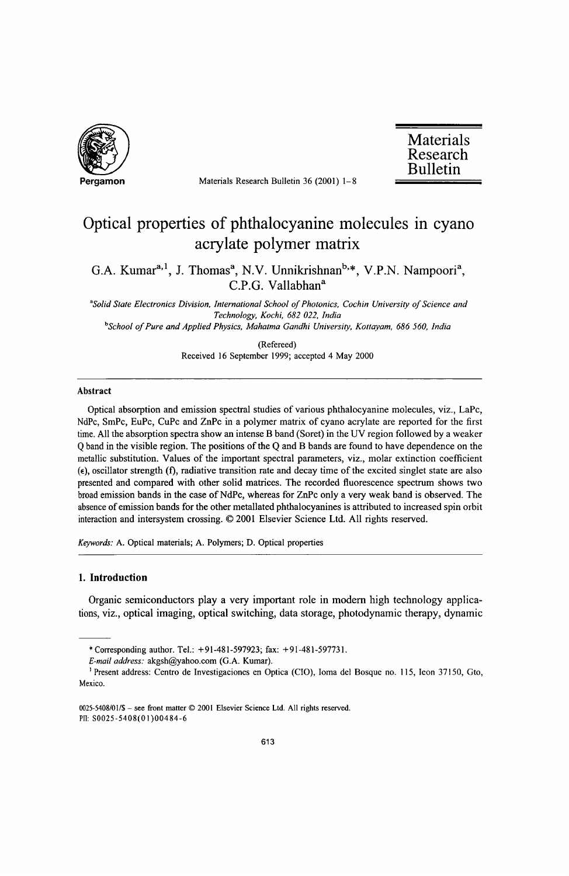

ergamon Materials Research Bulletin 36 (2001) 1-8

# Materials Research Bulletin

# Optical properties of phthalocyanine molecules in cyano acrylate polymer matrix

G.A. Kumar<sup>a,1</sup>, J. Thomas<sup>a</sup>, N.V. Unnikrishnan<sup>b,\*</sup>, V.P.N. Nampoori<sup>a</sup>, C.P.G. Vallabhan<sup>a</sup>

*'Solid State Electronics Division, International School of Photonics, Cochin University of Science and Technology, Kochi,* 682 *022, India* 

*bSchool of Pure and Applied Physics, Mahatma Gandhi University, Koltayam,* 686 *560, India* 

(Refereed) Received 16 September 1999; accepted 4 May 2000

#### Abstract

Optical absorption and emission spectral studies of various phthalocyanine molecules, viz., LaPc, NdPc, SmPc, EuPc, CuPc and ZnPc in a polymer matrix of cyano acrylate are reported for the first time. All the absorption spectra show an intense B band (Soret) in the UV region followed by a weaker Q band in the visible region. The positions of the Q and B bands are found to have dependence on the metallic substitution. Values of the important spectral parameters, viz., molar extinction coefficient  $(\epsilon)$ , oscillator strength  $(f)$ , radiative transition rate and decay time of the excited singlet state are also presented and compared with other solid matrices. The recorded fluorescence spectrum shows two broad emission bands in the case ofNdPc, whereas for ZnPc only a very weak band is observed. The absence of emission bands for the other metallated phthalocyanines is attributed to increased spin orbit interaction and intersystem crossing. © 2001 Elsevier Science Ltd. All rights reserved.

*Keywords:* A. Optical materials; A. Polymers; D. Optical properties

#### 1. Introduction

Organic semiconductors play a very important role in modern high technology applications, viz., optical imaging, optical switching, data storage, photodynamic therapy, dynamic

<sup>\*</sup> Corresponding author. Tel.: +91-481-597923; fax: +91-481-597731.

*E-mail address: akgsh@yahoo.com (G.A. Kumar).* 

<sup>&</sup>lt;sup>1</sup> Present address: Centro de Investigaciones en Optica (CIO), Ioma del Bosque no. 115, Ieon 37150, Gto, Mexico.

<sup>0025-5408/01/\$ -</sup> see front matter © 2001 Elsevier Science Ltd. All rights reserved. PII: S0025-5408(01)00484-6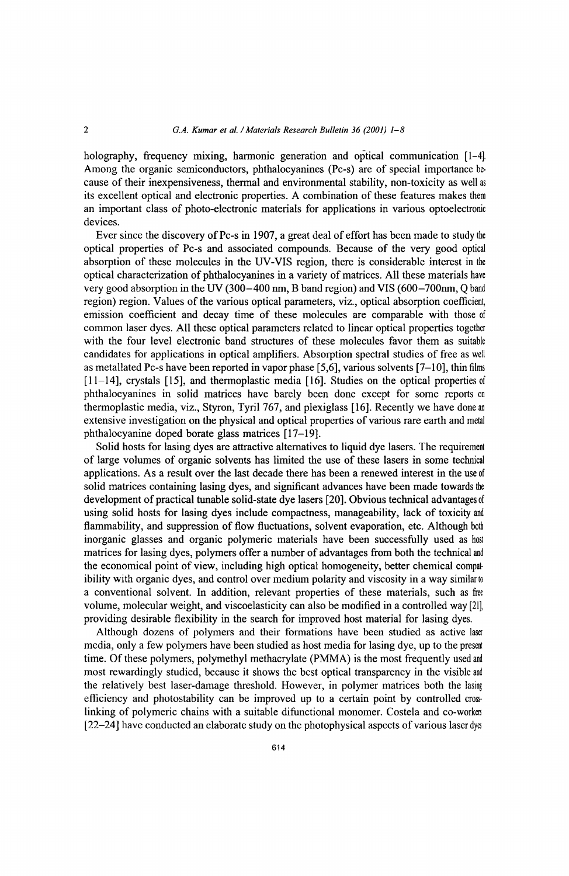holography, frequency mixing, harmonic generation and optical communication [1-4]. Among the organic semiconductors, phthalocyanines (Pc-s) are of special importance be· cause of their inexpensiveness, thermal and environmental stability, non-toxicity as well as its excellent optical and electronic properties. A combination of these features makes them an important class of photo-electronic materials for applications in various optoelectronic devices.

Ever since the discovery of Pc-s in 1907, a great deal of effort has been made to study the optical properties of Pc-s and associated compounds. Because of the very good optical absorption of these molecules in the UV -VIS region, there is considerable interest in the optical characterization of phthalocyanines in a variety of matrices. All these materials have very good absorption in the UV (300-400 nm, B band region) and VIS (600-700nm, Q band region) region. Values of the various optical parameters, viz., optical absorption coefficient, emission coefficient and decay time of these molecules are comparable with those of common laser dyes. All these optical parameters related to linear optical properties together with the four level electronic band structures of these molecules favor them as suitable candidates for applications in optical amplifiers. Absorption spectral studies of free as well as metallated Pc-s have been reported in vapor phase [5,6], various solvents [7-10], thin films [11-14], crystals [15], and thermoplastic media [16]. Studies on the optical properties of phthalocyanines in solid matrices have barely been done except for some reports on thermoplastic media, viz., Styron, Tyril 767, and plexiglass [16]. Recently we have done an extensive investigation on the physical and optical properties of various rare earth and metal phthalocyanine doped borate glass matrices [17-19].

Solid hosts for lasing dyes are attractive alternatives to liquid dye lasers. The requirement of large volumes of organic solvents has limited the use of these lasers in some technical applications. As a result over the last decade there has been a renewed interest in the use of solid matrices containing lasing dyes, and significant advances have been made towards the development of practical tunable solid-state dye lasers [20]. Obvious technical advantages of using solid hosts for lasing dyes include compactness, manageability, lack of toxicity and flammability, and suppression of flow fluctuations, solvent evaporation, etc. Although both inorganic glasses and organic polymeric materials have been successfully used as host matrices for lasing dyes, polymers offer a number of advantages from both the technical and the economical point of view, including high optical homogeneity, better chemical compat· ibility with organic dyes, and control over medium polarity and viscosity in a way similar to a conventional solvent. In addition, relevant properties of these materials, such as free volume, molecular weight, and viscoelasticity can also be modified in a controlled way [21], providing desirable flexibility in the search for improved host material for lasing dyes.

Although dozens of polymers and their formations have been studied as active laser media, only a few polymers have been studied as host media for lasing dye, up to the present time. Of these polymers, polymethyl methacrylate (PMMA) is the most frequently used and most rewardingly studied, because it shows the best optical transparency in the visible and the relatively best laser-damage threshold. However, in polymer matrices both the lasing efficiency and photostability can be improved up to a certain point by controlled cross· linking of polymeric chains with a suitable difunctional monomer. Costela and co-workers  $[22–24]$  have conducted an elaborate study on the photophysical aspects of various laser dyes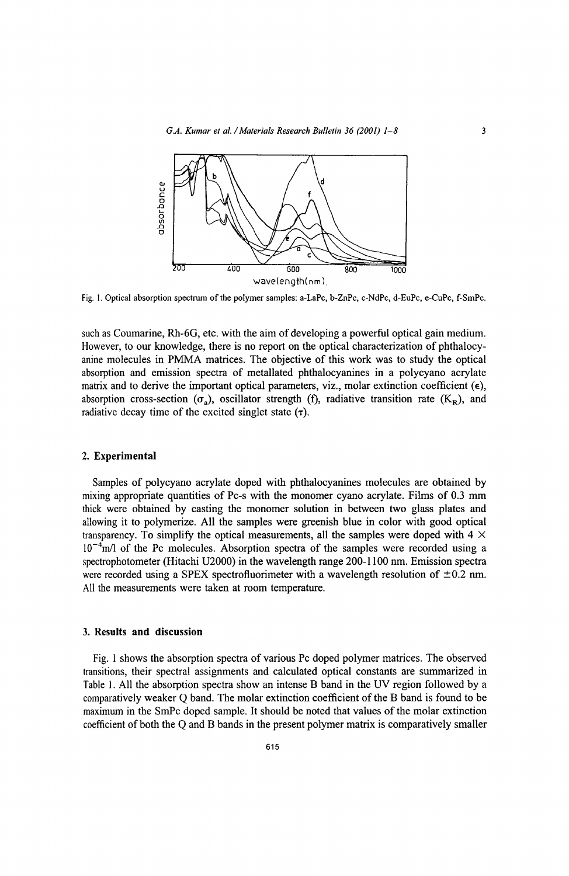

Fig. 1. Optical absorption spectrum of the polymer samples: a-LaPc, b-ZnPc, c-NdPc, d-EuPc, e-CuPc, f-SmPc.

such as Coumarine, Rh-6G, etc. with the aim of developing a powerful optical gain medium. However, to our knowledge, there is no report on the optical characterization of phthalocyanine molecules in PMMA matrices. The objective of this work was to study the optical absorption and emission spectra of metallated phthalocyanines in a polycyano acrylate matrix and to derive the important optical parameters, viz., molar extinction coefficient  $(\epsilon)$ , absorption cross-section  $(\sigma_a)$ , oscillator strength (f), radiative transition rate (K<sub>R</sub>), and radiative decay time of the excited singlet state  $(τ)$ .

#### **2. Experimental**

Samples of polycyano acrylate doped with phthalocyanines molecules are obtained by mixing appropriate quantities of Pc-s with the monomer cyano acrylate. Films of 0.3 mm thick were obtained by casting the monomer solution in between two glass plates and allowing it to polymerize. All the samples were greenish blue in color with good optical transparency. To simplify the optical measurements, all the samples were doped with  $4 \times$  $10^{-4}$ m/l of the Pc molecules. Absorption spectra of the samples were recorded using a spectrophotometer (Hitachi U2000) in the wavelength range 200-1100 nm. Emission spectra were recorded using a SPEX spectrofluorimeter with a wavelength resolution of  $\pm 0.2$  nm. All the measurements were taken at room temperature.

### 3. **Results and discussion**

Fig. 1 shows the absorption spectra of various Pc doped polymer matrices. The observed transitions, their spectral assignments and calculated optical constants are summarized in Table I. All the absorption spectra show an intense B band in the UV region followed by a comparatively weaker Q band. The molar extinction coefficient of the B band is found to be maximum in the SmPc doped sample. It should be noted that values of the molar extinction coefficient of both the Q and B bands in the present polymer matrix is comparatively smaller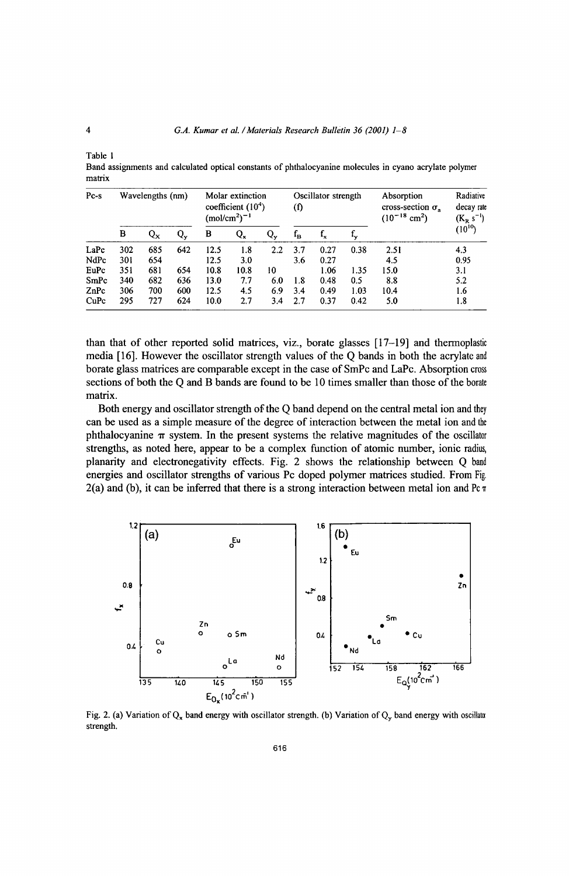Table I

Band assignments and calculated optical constants of phthalocyanine molecules in cyano acrylate polymer matrix

| $P_{\text{C-S}}$ | Wavelengths (nm) |                  |     | Molar extinction<br>coefficient $(104)$<br>$(mol/cm2)-1$ |         |         | Oscillator strength<br>(f) |         |      | Absorption<br>cross-section $\sigma$ .<br>$(10^{-18}$ cm <sup>2</sup> ) | Radiative<br>decay rate<br>$(K_R s^{-1})$ |
|------------------|------------------|------------------|-----|----------------------------------------------------------|---------|---------|----------------------------|---------|------|-------------------------------------------------------------------------|-------------------------------------------|
|                  | B                | $Q_{\mathbf{X}}$ | Q,  | B                                                        | $Q_{x}$ | $Q_{y}$ | $f_B$                      | $f_{x}$ | t,   |                                                                         | $(10^{10})$                               |
| LaPc             | 302              | 685              | 642 | 12.5                                                     | 1.8     | 2.2     | 3.7                        | 0.27    | 0.38 | 2.51                                                                    | 4.3                                       |
| NdPc             | 301              | 654              |     | 12.5                                                     | 3.0     |         | 3.6                        | 0.27    |      | 4.5                                                                     | 0.95                                      |
| EuPc             | 351              | 681              | 654 | 10.8                                                     | 10.8    | 10      |                            | 1.06    | 1.35 | 15.0                                                                    | 3.1                                       |
| SmPc             | 340              | 682              | 636 | 13.0                                                     | 7.7     | 6.0     | 1.8                        | 0.48    | 0.5  | 8.8                                                                     | 5.2                                       |
| ZnPc             | 306              | 700              | 600 | 12.5                                                     | 4.5     | 6.9     | 3.4                        | 0.49    | 1.03 | 10.4                                                                    | 1.6                                       |
| CuPc             | 295              | 727              | 624 | 10.0                                                     | 2.7     | 3.4     | 2.7                        | 0.37    | 0.42 | 5.0                                                                     | 1.8                                       |

than that of other reported solid matrices, viz., borate glasses [17-19] and thermoplastic media [16]. However the oscillator strength values of the Q bands in both the acrylate and borate glass matrices are comparable except in the case of SmPc and LaPc. Absorption cross sections of both the Q and B bands are found to be 10 times smaller than those of the borate matrix.

Both energy and oscillator strength of the Q band depend on the central metal ion and they can be used as a simple measure of the degree of interaction between the metal ion and the phthalocyanine  $\pi$  system. In the present systems the relative magnitudes of the oscillator strengths, as noted here, appear to be a complex function of atomic number, ionic radius, planarity and electronegativity effects. Fig. 2 shows the relationship between Q band energies and oscillator strengths of various Pc doped polymer matrices studied. From Fig. 2(a) and (b), it can be inferred that there is a strong interaction between metal ion and Pc  $\pi$ 



Fig. 2. (a) Variation of  $Q_x$  band energy with oscillator strength. (b) Variation of  $Q_y$  band energy with oscillator strength.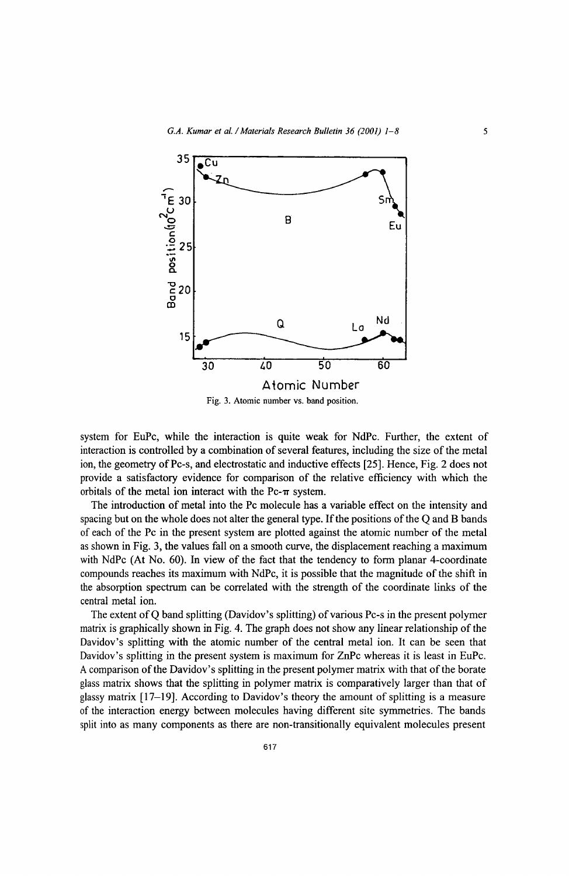

Fig. 3. Atomic number vs. band position.

system for EuPc, while the interaction is quite weak for NdPc. Further, the extent of interaction is controlled by a combination of several features, including the size of the metal ion, the geometry of Pc-s, and electrostatic and inductive effects [25]. Hence, Fig. 2 does not provide a satisfactory evidence for comparison of the relative efficiency with which the orbitals of the metal ion interact with the Pc- $\pi$  system.

The introduction of metal into the Pc molecule has a variable effect on the intensity and spacing but on the whole does not alter the general type. If the positions of the Q and B bands of each of the Pc in the present system are plotted against the atomic number of the metal as shown in Fig. 3, the values fall on a smooth curve, the displacement reaching a maximum with NdPc (At No. 60). In view of the fact that the tendency to form planar 4-coordinate compounds reaches its maximum with NdPc, it is possible that the magnitude of the shift in the absorption spectrum can be correlated with the strength of the coordinate links of the central metal ion.

The extent ofQ band splitting (Davidov's splitting) of various Pc-s in the present polymer matrix is graphically shown in Fig. 4. The graph does not show any linear relationship of the Davidov's splitting with the atomic number of the central metal ion. It can be seen that Davidov's splitting in the present system is maximum for ZnPc whereas it is least in EuPc. A comparison of the Davidov's splitting in the present polymer matrix with that of the borate glass matrix shows that the splitting in polymer matrix is comparatively larger than that of glassy matrix [17-19]. According to Davidov's theory the amount of splitting is a measure of the interaction energy between molecules having different site symrnetries. The bands split into as many components as there are non-transitionally equivalent molecules present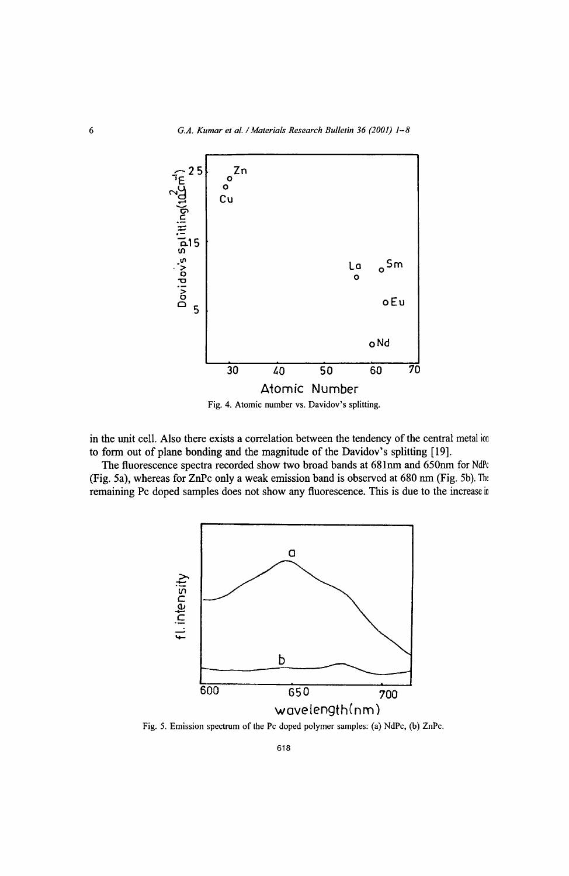

in the unit cell. Also there exists a correlation between the tendency of the central metal ion to form out of plane bonding and the magnitude of the Davidov's splitting [19].

The fluorescence spectra recorded show two broad bands at 681nm and 650nm for NdPc (Fig. 5a), whereas for ZnPc only a weak emission band is observed at 680 nm (Fig. 5b). The remaining Pc doped samples does not show any fluorescence. This is due to the increase in



Fig. 5. Emission spectrum of the Pc doped polymer samples: (a) NdPc, (b) ZnPc.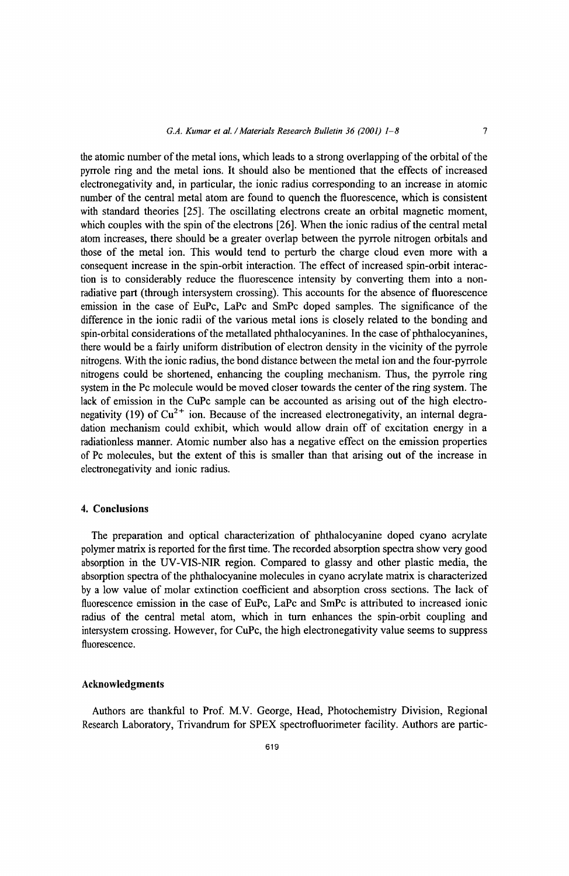the atomic number of the metal ions, which leads to a strong overlapping of the orbital of the pyrrole ring and the metal ions. It should also be mentioned that the effects of increased electronegativity and, in particular, the ionic radius corresponding to an increase in atomic number of the central metal atom are found to quench the fluorescence, which is consistent with standard theories [25]. The oscillating electrons create an orbital magnetic moment, which couples with the spin of the electrons [26]. When the ionic radius of the central metal atom increases, there should be a greater overlap between the pyrrole nitrogen orbitals and those of the metal ion. This would tend to perturb the charge cloud even more with a consequent increase in the spin-orbit interaction. The effect of increased spin-orbit interaction is to considerably reduce the fluorescence intensity by converting them into a nonradiative part (through intersystem crossing). This accounts for the absence of fluorescence emission in the case of EuPc, LaPc and SmPc doped samples. The significance of the difference in the ionic radii of the various metal ions is closely related to the bonding and spin-orbital considerations of the metallated phthalocyanines. In the case of phthalocyanines, there would be a fairly uniform distribution of electron density in the vicinity of the pyrrole nitrogens. With the ionic radius, the bond distance between the metal ion and the four-pyrrole nitrogens could be shortened, enhancing the coupling mechanism. Thus, the pyrrole ring system in the Pc molecule would be moved closer towards the center of the ring system. The lack of emission in the CuPc sample can be accounted as arising out of the high electronegativity (19) of  $Cu^{2+}$  ion. Because of the increased electronegativity, an internal degradation mechanism could exhibit, which would allow drain off of excitation energy in a radiationless manner. Atomic number also has a negative effect on the emission properties of Pc molecules, but the extent of this is smaller than that arising out of the increase in electronegativity and ionic radius.

#### 4. Conclusions

The preparation and optical characterization of phthalocyanine doped cyano acrylate polymer matrix is reported for the first time. The recorded absorption spectra show very good absorption in the UV-VIS-NIR region. Compared to glassy and other plastic media, the absorption spectra of the phthalocyanine molecules in cyano acrylate matrix is characterized by a low value of molar extinction coefficient and absorption cross sections. The lack of fluorescence emission in the case of EuPc, LaPc and SmPc is attributed to increased ionic radius of the central metal atom, which in turn enhances the spin-orbit coupling and intersystem crossing. However, for CuPc, the high electronegativity value seems to suppress fluorescence.

## Acknowledgments

Authors are thankful to Prof. M.V. George, Head, Photochemistry Division, Regional Research Laboratory, Trivandrum for SPEX spectrofluorimeter facility. Authors are partic